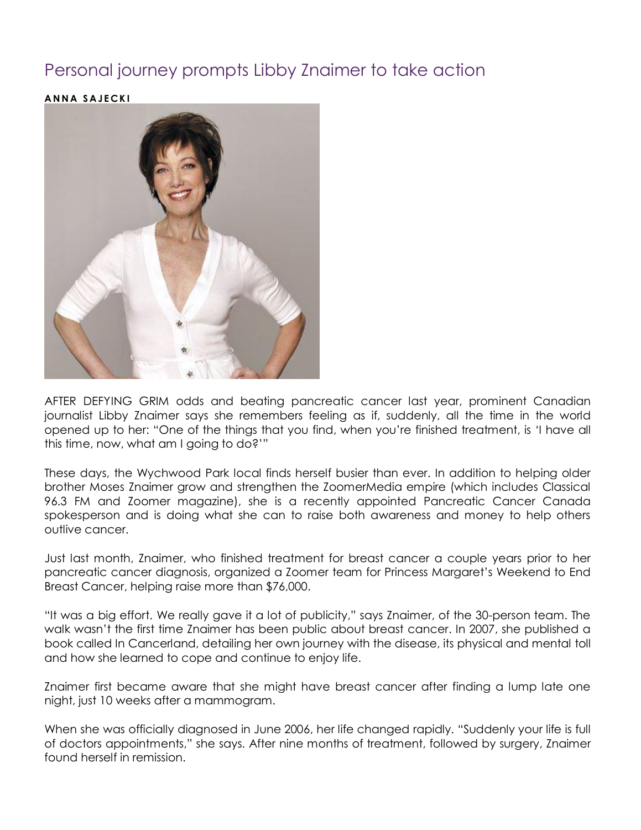## Personal journey prompts Libby Znaimer to take action

## **A N N A S A J E CK I**



AFTER DEFYING GRIM odds and beating pancreatic cancer last year, prominent Canadian journalist Libby Znaimer says she remembers feeling as if, suddenly, all the time in the world opened up to her: "One of the things that you find, when you're finished treatment, is 'I have all this time, now, what am I going to do?'"

These days, the Wychwood Park local finds herself busier than ever. In addition to helping older brother Moses Znaimer grow and strengthen the ZoomerMedia empire (which includes Classical 96.3 FM and Zoomer magazine), she is a recently appointed Pancreatic Cancer Canada spokesperson and is doing what she can to raise both awareness and money to help others outlive cancer.

Just last month, Znaimer, who finished treatment for breast cancer a couple years prior to her pancreatic cancer diagnosis, organized a Zoomer team for Princess Margaret's Weekend to End Breast Cancer, helping raise more than \$76,000.

"It was a big effort. We really gave it a lot of publicity," says Znaimer, of the 30-person team. The walk wasn't the first time Znaimer has been public about breast cancer. In 2007, she published a book called In Cancerland, detailing her own journey with the disease, its physical and mental toll and how she learned to cope and continue to enjoy life.

Znaimer first became aware that she might have breast cancer after finding a lump late one night, just 10 weeks after a mammogram.<br>When she was officially diagnosed in June 2006, her life changed rapidly. "Suddenly your life is full

of doctors appointments," she says. After nine months of treatment, followed by surgery, Znaimer found herself in remission.